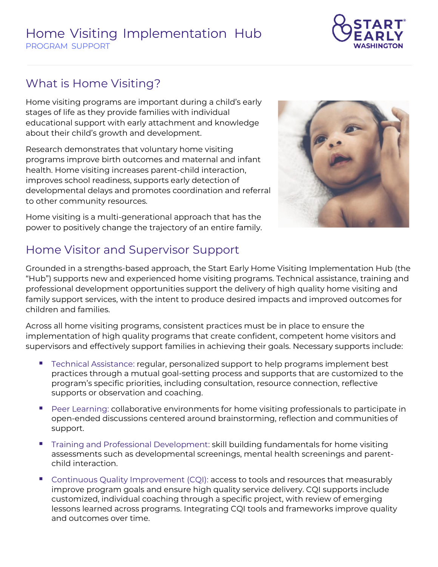## **Home Visiting Implementation Hub PROGRAM SUPPORT**



## **What is Home Visiting?**

Home visiting programs are important during a child's early stages of life as they provide families with individual educational support with early attachment and knowledge about their child's growth and development.

Research demonstrates that voluntary home visiting programs improve birth outcomes and maternal and infant health. Home visiting increases parent-child interaction, improves school readiness, supports early detection of developmental delays and promotes coordination and referral to other community resources.



Home visiting is a multi-generational approach that has the power to positively change the trajectory of an entire family.

## **Home Visitor and Supervisor Support**

Grounded in a strengths-based approach, the Start Early Home Visiting Implementation Hub (the "Hub") supports new and experienced home visiting programs. Technical assistance, training and professional development opportunities support the delivery of high quality home visiting and family support services, with the intent to produce desired impacts and improved outcomes for children and families.

Across all home visiting programs, consistent practices must be in place to ensure the implementation of high quality programs that create confident, competent home visitors and supervisors and effectively support families in achieving their goals. Necessary supports include:

- Technical Assistance: regular, personalized support to help programs implement best practices through a mutual goal-setting process and supports that are customized to the program's specific priorities, including consultation, resource connection, reflective supports or observation and coaching.
- Peer Learning: collaborative environments for home visiting professionals to participate in open-ended discussions centered around brainstorming, reflection and communities of support.
- **The Training and Professional Development: skill building fundamentals for home visiting** assessments such as developmental screenings, mental health screenings and parentchild interaction.
- Continuous Quality Improvement (CQI): access to tools and resources that measurably improve program goals and ensure high quality service delivery. CQI supports include customized, individual coaching through a specific project, with review of emerging lessons learned across programs. Integrating CQI tools and frameworks improve quality and outcomes over time.